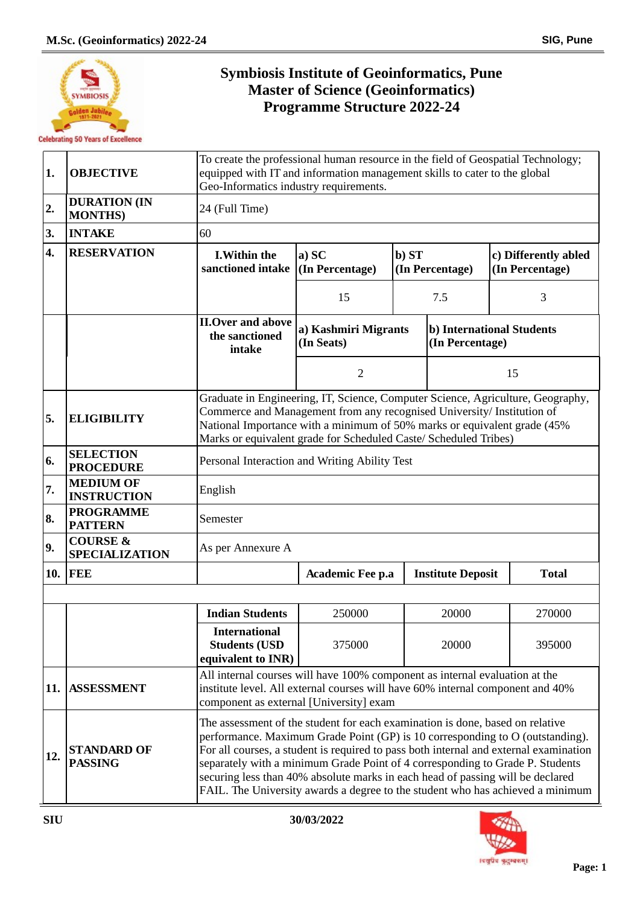

r.

## **Symbiosis Institute of Geoinformatics, Pune Master of Science (Geoinformatics) Programme Structure 2022-24**

| 1.  | <b>OBJECTIVE</b>                             | To create the professional human resource in the field of Geospatial Technology;<br>equipped with IT and information management skills to cater to the global<br>Geo-Informatics industry requirements.                                                                                                                                                                                                                                                                                                      |                                    |                          |                          |                                         |              |  |
|-----|----------------------------------------------|--------------------------------------------------------------------------------------------------------------------------------------------------------------------------------------------------------------------------------------------------------------------------------------------------------------------------------------------------------------------------------------------------------------------------------------------------------------------------------------------------------------|------------------------------------|--------------------------|--------------------------|-----------------------------------------|--------------|--|
| 2.  | <b>DURATION (IN</b><br><b>MONTHS</b> )       | 24 (Full Time)                                                                                                                                                                                                                                                                                                                                                                                                                                                                                               |                                    |                          |                          |                                         |              |  |
| 3.  | <b>INTAKE</b>                                | 60                                                                                                                                                                                                                                                                                                                                                                                                                                                                                                           |                                    |                          |                          |                                         |              |  |
| 4.  | <b>RESERVATION</b>                           | <b>I.Within the</b><br>sanctioned intake (In Percentage)                                                                                                                                                                                                                                                                                                                                                                                                                                                     | a) SC                              | b) ST<br>(In Percentage) |                          | c) Differently abled<br>(In Percentage) |              |  |
|     |                                              |                                                                                                                                                                                                                                                                                                                                                                                                                                                                                                              | 15                                 |                          | 7.5                      |                                         | 3            |  |
|     |                                              | <b>II.Over and above</b><br>the sanctioned<br>intake                                                                                                                                                                                                                                                                                                                                                                                                                                                         | a) Kashmiri Migrants<br>(In Seats) |                          | (In Percentage)          | b) International Students               |              |  |
|     |                                              |                                                                                                                                                                                                                                                                                                                                                                                                                                                                                                              | $\overline{2}$                     |                          |                          |                                         | 15           |  |
| 5.  | <b>ELIGIBILITY</b>                           | Graduate in Engineering, IT, Science, Computer Science, Agriculture, Geography,<br>Commerce and Management from any recognised University/ Institution of<br>National Importance with a minimum of 50% marks or equivalent grade (45%<br>Marks or equivalent grade for Scheduled Caste/ Scheduled Tribes)                                                                                                                                                                                                    |                                    |                          |                          |                                         |              |  |
| 6.  | <b>SELECTION</b><br><b>PROCEDURE</b>         | Personal Interaction and Writing Ability Test                                                                                                                                                                                                                                                                                                                                                                                                                                                                |                                    |                          |                          |                                         |              |  |
| 7.  | <b>MEDIUM OF</b><br><b>INSTRUCTION</b>       | English                                                                                                                                                                                                                                                                                                                                                                                                                                                                                                      |                                    |                          |                          |                                         |              |  |
| 8.  | <b>PROGRAMME</b><br><b>PATTERN</b>           | Semester                                                                                                                                                                                                                                                                                                                                                                                                                                                                                                     |                                    |                          |                          |                                         |              |  |
| 9.  | <b>COURSE &amp;</b><br><b>SPECIALIZATION</b> | As per Annexure A                                                                                                                                                                                                                                                                                                                                                                                                                                                                                            |                                    |                          |                          |                                         |              |  |
|     | <b>10. FEE</b>                               |                                                                                                                                                                                                                                                                                                                                                                                                                                                                                                              | Academic Fee p.a                   |                          | <b>Institute Deposit</b> |                                         | <b>Total</b> |  |
|     |                                              |                                                                                                                                                                                                                                                                                                                                                                                                                                                                                                              |                                    |                          |                          |                                         |              |  |
|     |                                              | <b>Indian Students</b>                                                                                                                                                                                                                                                                                                                                                                                                                                                                                       | 250000                             |                          | 20000                    |                                         | 270000       |  |
|     |                                              | <b>International</b><br><b>Students (USD</b><br>equivalent to INR)                                                                                                                                                                                                                                                                                                                                                                                                                                           | 375000                             |                          | 20000                    |                                         | 395000       |  |
| 11. | <b>ASSESSMENT</b>                            | All internal courses will have 100% component as internal evaluation at the<br>institute level. All external courses will have 60% internal component and 40%<br>component as external [University] exam                                                                                                                                                                                                                                                                                                     |                                    |                          |                          |                                         |              |  |
| 12. | <b>STANDARD OF</b><br><b>PASSING</b>         | The assessment of the student for each examination is done, based on relative<br>performance. Maximum Grade Point (GP) is 10 corresponding to O (outstanding).<br>For all courses, a student is required to pass both internal and external examination<br>separately with a minimum Grade Point of 4 corresponding to Grade P. Students<br>securing less than 40% absolute marks in each head of passing will be declared<br>FAIL. The University awards a degree to the student who has achieved a minimum |                                    |                          |                          |                                         |              |  |

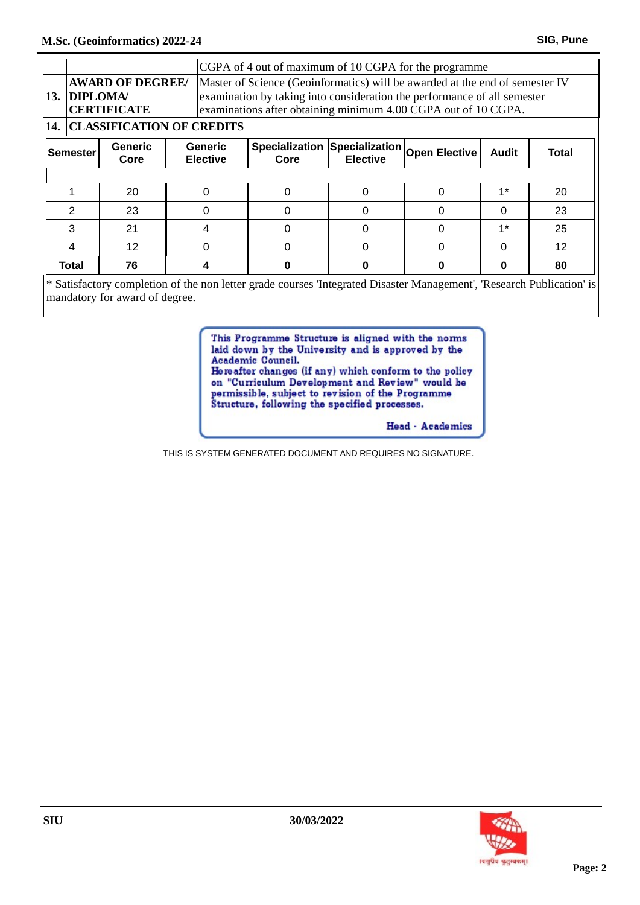|                  |                                      |                                               |  | CGPA of 4 out of maximum of 10 CGPA for the programme                                                                                                                                                                      |                               |                                                 |   |              |                   |  |  |
|------------------|--------------------------------------|-----------------------------------------------|--|----------------------------------------------------------------------------------------------------------------------------------------------------------------------------------------------------------------------------|-------------------------------|-------------------------------------------------|---|--------------|-------------------|--|--|
|                  | 13. DIPLOMA/                         | <b>AWARD OF DEGREE/</b><br><b>CERTIFICATE</b> |  | Master of Science (Geoinformatics) will be awarded at the end of semester IV<br>examination by taking into consideration the performance of all semester<br>examinations after obtaining minimum 4.00 CGPA out of 10 CGPA. |                               |                                                 |   |              |                   |  |  |
|                  | <b>14. CLASSIFICATION OF CREDITS</b> |                                               |  |                                                                                                                                                                                                                            |                               |                                                 |   |              |                   |  |  |
| <b> Semester</b> |                                      | Generic<br>Core                               |  | <b>Generic</b><br><b>Elective</b>                                                                                                                                                                                          | <b>Specialization</b><br>Core | Specialization Open Elective<br><b>Elective</b> |   | <b>Audit</b> | Total             |  |  |
|                  |                                      |                                               |  |                                                                                                                                                                                                                            |                               |                                                 |   |              |                   |  |  |
|                  |                                      | 20                                            |  |                                                                                                                                                                                                                            |                               |                                                 |   | $1*$         | 20                |  |  |
|                  | 2                                    | 23                                            |  |                                                                                                                                                                                                                            |                               |                                                 |   | 0            | 23                |  |  |
|                  | 3                                    | 21                                            |  |                                                                                                                                                                                                                            |                               |                                                 |   | $1^*$        | 25                |  |  |
|                  | 4                                    | $12 \overline{ }$                             |  |                                                                                                                                                                                                                            |                               |                                                 | 0 | 0            | $12 \overline{ }$ |  |  |
|                  | Total                                | 76                                            |  |                                                                                                                                                                                                                            |                               |                                                 |   | Ω            | 80                |  |  |

\* Satisfactory completion of the non letter grade courses 'Integrated Disaster Management', 'Research Publication' is mandatory for award of degree.

> This Programme Structure is aligned with the norms laid down by the University and is approved by the Academic Council.

Hereafter changes (if any) which conform to the policy on "Curriculum Development and Review" would be permissible, subject to revision of the Programme<br>Structure, following the specified processes.

Head - Academics

THIS IS SYSTEM GENERATED DOCUMENT AND REQUIRES NO SIGNATURE.

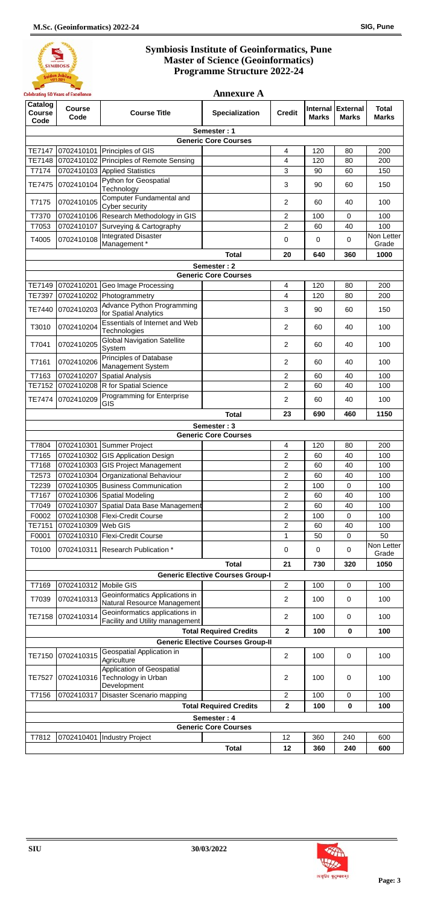## **Symbiosis Institute of Geoinformatics, Pune Master of Science (Geoinformatics) Programme Structure 2022-24**

**Annexure A**



| Catalog<br>Course<br>Code                  | <b>Course</b><br>Code | <b>Course Title</b>                                                      | Specialization                          | <b>Credit</b>                    | <b>Marks</b> | Internal External<br><b>Marks</b> | <b>Total</b><br><b>Marks</b> |  |  |  |  |  |
|--------------------------------------------|-----------------------|--------------------------------------------------------------------------|-----------------------------------------|----------------------------------|--------------|-----------------------------------|------------------------------|--|--|--|--|--|
| Semester: 1                                |                       |                                                                          |                                         |                                  |              |                                   |                              |  |  |  |  |  |
| <b>Generic Core Courses</b>                |                       |                                                                          |                                         |                                  |              |                                   |                              |  |  |  |  |  |
| <b>TE7147</b>                              |                       | 0702410101 Principles of GIS                                             |                                         | 4                                | 120          | 80                                | 200                          |  |  |  |  |  |
| TE7148                                     |                       | 0702410102 Principles of Remote Sensing                                  |                                         | 4                                | 120          | 80                                | 200                          |  |  |  |  |  |
| T7174                                      |                       | 0702410103 Applied Statistics                                            |                                         | 3                                | 90           | 60                                | 150                          |  |  |  |  |  |
| <b>TE7475</b>                              | 0702410104            | Python for Geospatial<br>Technology                                      |                                         | 3                                | 90           | 60                                | 150                          |  |  |  |  |  |
| T7175                                      | 0702410105            | Computer Fundamental and<br>Cyber security                               |                                         | $\overline{2}$                   | 60           | 40                                | 100                          |  |  |  |  |  |
| T7370                                      |                       | 0702410106 Research Methodology in GIS                                   |                                         | $\overline{2}$                   | 100          | $\mathbf 0$                       | 100                          |  |  |  |  |  |
| T7053<br>T4005                             | 0702410108            | 0702410107 Surveying & Cartography<br><b>Integrated Disaster</b>         |                                         | $\overline{2}$<br>0              | 60<br>0      | 40<br>$\Omega$                    | 100<br>Non Letter            |  |  |  |  |  |
|                                            |                       | Management*                                                              | <b>Total</b>                            | 20                               | 640          | 360                               | Grade<br>1000                |  |  |  |  |  |
|                                            |                       |                                                                          |                                         |                                  |              |                                   |                              |  |  |  |  |  |
| Semester: 2<br><b>Generic Core Courses</b> |                       |                                                                          |                                         |                                  |              |                                   |                              |  |  |  |  |  |
| TE7149                                     |                       | 0702410201 Geo Image Processing                                          |                                         | $\overline{4}$                   | 120          | 80                                | 200                          |  |  |  |  |  |
| TE7397                                     |                       | 0702410202 Photogrammetry                                                |                                         | 4                                | 120          | 80                                | 200                          |  |  |  |  |  |
| <b>TE7440</b>                              | 0702410203            | <b>Advance Python Programming</b><br>for Spatial Analytics               |                                         | 3                                | 90           | 60                                | 150                          |  |  |  |  |  |
| T3010                                      | 0702410204            | Essentials of Internet and Web<br>Technologies                           |                                         | $\overline{2}$                   | 60           | 40                                | 100                          |  |  |  |  |  |
| T7041                                      | 0702410205            | <b>Global Navigation Satellite</b><br>System                             |                                         | 2                                | 60           | 40                                | 100                          |  |  |  |  |  |
| T7161                                      | 0702410206            | <b>Principles of Database</b><br><b>Management System</b>                |                                         | $\overline{2}$                   | 60           | 40                                | 100                          |  |  |  |  |  |
| T7163                                      | 0702410207            | <b>Spatial Analysis</b>                                                  |                                         | $\overline{2}$                   | 60           | 40                                | 100                          |  |  |  |  |  |
| TE7152                                     |                       | 0702410208 R for Spatial Science                                         |                                         | $\overline{2}$                   | 60           | 40                                | 100                          |  |  |  |  |  |
| <b>TE7474</b>                              | 0702410209            | Programming for Enterprise<br>GIS                                        |                                         | $\overline{2}$                   | 60           | 40                                | 100                          |  |  |  |  |  |
|                                            |                       |                                                                          | <b>Total</b>                            | 23                               | 690          | 460                               | 1150                         |  |  |  |  |  |
|                                            |                       |                                                                          | Semester: 3                             |                                  |              |                                   |                              |  |  |  |  |  |
|                                            |                       |                                                                          | <b>Generic Core Courses</b>             |                                  |              |                                   |                              |  |  |  |  |  |
| T7804                                      |                       | 0702410301 Summer Project                                                |                                         | 4                                | 120          | 80                                | 200                          |  |  |  |  |  |
| T7165                                      |                       | 0702410302 GIS Application Design                                        |                                         | $\overline{2}$                   | 60           | 40                                | 100                          |  |  |  |  |  |
| T7168<br>T2573                             |                       | 0702410303 GIS Project Management<br>0702410304 Organizational Behaviour |                                         | $\overline{2}$<br>$\overline{2}$ | 60<br>60     | 40<br>40                          | 100<br>100                   |  |  |  |  |  |
| T2239                                      |                       | 0702410305 Business Communication                                        |                                         | 2                                | 100          | 0                                 | 100                          |  |  |  |  |  |
| T7167                                      |                       | 0702410306 Spatial Modeling                                              |                                         | $\overline{2}$                   | 60           | 40                                | 100                          |  |  |  |  |  |
| T7049                                      |                       | 0702410307 Spatial Data Base Management                                  |                                         | $\overline{2}$                   | 60           | 40                                | 100                          |  |  |  |  |  |
| F0002                                      |                       | 0702410308   Flexi-Credit Course                                         |                                         | $\overline{2}$                   | 100          | 0                                 | 100                          |  |  |  |  |  |
| TE7151                                     | 0702410309 Web GIS    |                                                                          |                                         | $\overline{2}$                   | 60           | 40                                | 100                          |  |  |  |  |  |
| F0001                                      |                       | 0702410310   Flexi-Credit Course                                         |                                         | 1                                | 50           | 0                                 | 50                           |  |  |  |  |  |
| T0100                                      | 0702410311            | Research Publication *                                                   |                                         | 0                                | $\Omega$     | 0                                 | Non Letter<br>Grade          |  |  |  |  |  |
|                                            |                       |                                                                          | <b>Total</b>                            | 21                               | 730          | 320                               | 1050                         |  |  |  |  |  |
|                                            |                       |                                                                          | <b>Generic Elective Courses Group-I</b> |                                  |              |                                   |                              |  |  |  |  |  |
| T7169                                      | 0702410312 Mobile GIS |                                                                          |                                         | $\overline{2}$                   | 100          | $\mathbf 0$                       | 100                          |  |  |  |  |  |
| T7039                                      | 0702410313            | Geoinformatics Applications in<br>Natural Resource Management            |                                         | $\overline{2}$                   | 100          | 0                                 | 100                          |  |  |  |  |  |
| <b>TE7158</b>                              | 0702410314            | Geoinformatics applications in<br>Facility and Utility management        |                                         | $\overline{2}$                   | 100          | 0                                 | 100                          |  |  |  |  |  |
|                                            |                       | <b>Total Required Credits</b>                                            | $\mathbf{2}$                            | 100                              | $\bf{0}$     | 100                               |                              |  |  |  |  |  |
| <b>Generic Elective Courses Group-II</b>   |                       |                                                                          |                                         |                                  |              |                                   |                              |  |  |  |  |  |
| TE7150                                     | 0702410315            | Geospatial Application in<br>Agriculture                                 |                                         | $\overline{2}$                   | 100          | 0                                 | 100                          |  |  |  |  |  |
| <b>TE7527</b>                              | 0702410316            | Application of Geospatial<br>Technology in Urban<br>Development          |                                         | $\overline{2}$                   | 100          | 0                                 | 100                          |  |  |  |  |  |
| T7156                                      |                       | 0702410317 Disaster Scenario mapping                                     |                                         | $\overline{2}$                   | 100          | $\mathbf 0$                       | 100                          |  |  |  |  |  |
|                                            |                       |                                                                          | <b>Total Required Credits</b>           | $\mathbf{2}$                     | 100          | $\mathbf 0$                       | 100                          |  |  |  |  |  |
|                                            |                       |                                                                          | Semester: 4                             |                                  |              |                                   |                              |  |  |  |  |  |
|                                            |                       |                                                                          | <b>Generic Core Courses</b>             |                                  |              |                                   |                              |  |  |  |  |  |
| T7812                                      |                       | 0702410401  Industry Project                                             | <b>Total</b>                            | 12<br>12                         | 360<br>360   | 240<br>240                        | 600<br>600                   |  |  |  |  |  |

**SIU 30/03/2022**